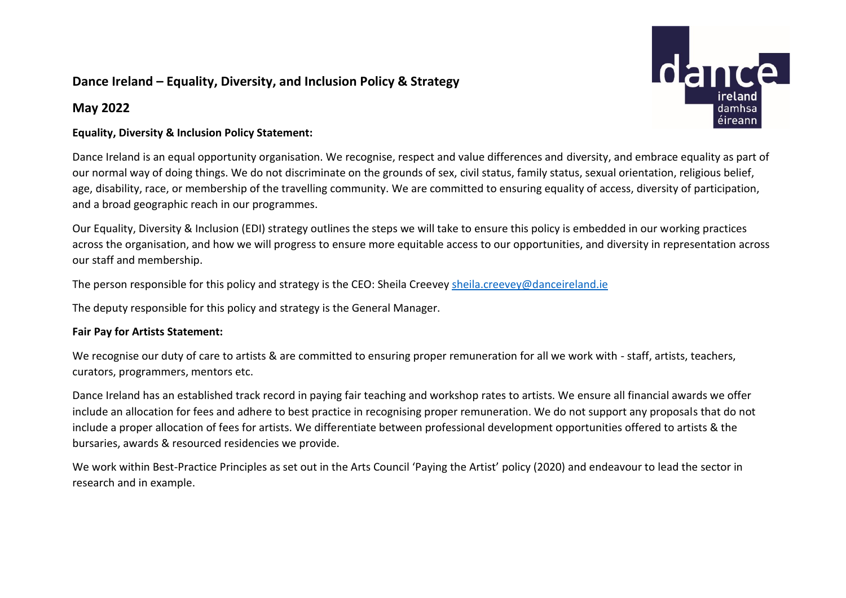## **Dance Ireland – Equality, Diversity, and Inclusion Policy & Strategy**

### **May 2022**



#### **Equality, Diversity & Inclusion Policy Statement:**

Dance Ireland is an equal opportunity organisation. We recognise, respect and value differences and diversity, and embrace equality as part of our normal way of doing things. We do not discriminate on the grounds of sex, civil status, family status, sexual orientation, religious belief, age, disability, race, or membership of the travelling community. We are committed to ensuring equality of access, diversity of participation, and a broad geographic reach in our programmes.

Our Equality, Diversity & Inclusion (EDI) strategy outlines the steps we will take to ensure this policy is embedded in our working practices across the organisation, and how we will progress to ensure more equitable access to our opportunities, and diversity in representation across our staff and membership.

The person responsible for this policy and strategy is the CEO: Sheila Creeve[y sheila.creevey@danceireland.ie](mailto:sheila.creevey@danceireland.ie)

The deputy responsible for this policy and strategy is the General Manager.

#### **Fair Pay for Artists Statement:**

We recognise our duty of care to artists & are committed to ensuring proper remuneration for all we work with - staff, artists, teachers, curators, programmers, mentors etc.

Dance Ireland has an established track record in paying fair teaching and workshop rates to artists. We ensure all financial awards we offer include an allocation for fees and adhere to best practice in recognising proper remuneration. We do not support any proposals that do not include a proper allocation of fees for artists. We differentiate between professional development opportunities offered to artists & the bursaries, awards & resourced residencies we provide.

We work within Best-Practice Principles as set out in the Arts Council 'Paying the Artist' policy (2020) and endeavour to lead the sector in research and in example.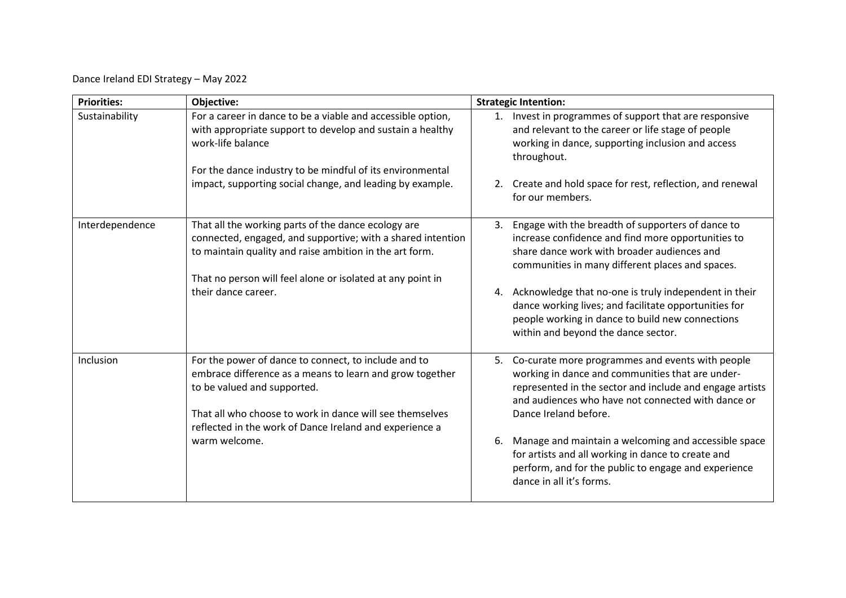Dance Ireland EDI Strategy – May 2022

| <b>Priorities:</b> | Objective:                                                                                                                                                                                                                                  | <b>Strategic Intention:</b>                                                                                                                                                                                                                        |  |
|--------------------|---------------------------------------------------------------------------------------------------------------------------------------------------------------------------------------------------------------------------------------------|----------------------------------------------------------------------------------------------------------------------------------------------------------------------------------------------------------------------------------------------------|--|
| Sustainability     | For a career in dance to be a viable and accessible option,<br>with appropriate support to develop and sustain a healthy<br>work-life balance                                                                                               | 1. Invest in programmes of support that are responsive<br>and relevant to the career or life stage of people<br>working in dance, supporting inclusion and access<br>throughout.                                                                   |  |
|                    | For the dance industry to be mindful of its environmental<br>impact, supporting social change, and leading by example.                                                                                                                      | 2. Create and hold space for rest, reflection, and renewal<br>for our members.                                                                                                                                                                     |  |
| Interdependence    | That all the working parts of the dance ecology are<br>connected, engaged, and supportive; with a shared intention<br>to maintain quality and raise ambition in the art form.<br>That no person will feel alone or isolated at any point in | Engage with the breadth of supporters of dance to<br>3.<br>increase confidence and find more opportunities to<br>share dance work with broader audiences and<br>communities in many different places and spaces.                                   |  |
|                    | their dance career.                                                                                                                                                                                                                         | 4. Acknowledge that no-one is truly independent in their<br>dance working lives; and facilitate opportunities for<br>people working in dance to build new connections<br>within and beyond the dance sector.                                       |  |
| Inclusion          | For the power of dance to connect, to include and to<br>embrace difference as a means to learn and grow together<br>to be valued and supported.<br>That all who choose to work in dance will see themselves                                 | 5. Co-curate more programmes and events with people<br>working in dance and communities that are under-<br>represented in the sector and include and engage artists<br>and audiences who have not connected with dance or<br>Dance Ireland before. |  |
|                    | reflected in the work of Dance Ireland and experience a<br>warm welcome.                                                                                                                                                                    | Manage and maintain a welcoming and accessible space<br>6.<br>for artists and all working in dance to create and<br>perform, and for the public to engage and experience<br>dance in all it's forms.                                               |  |